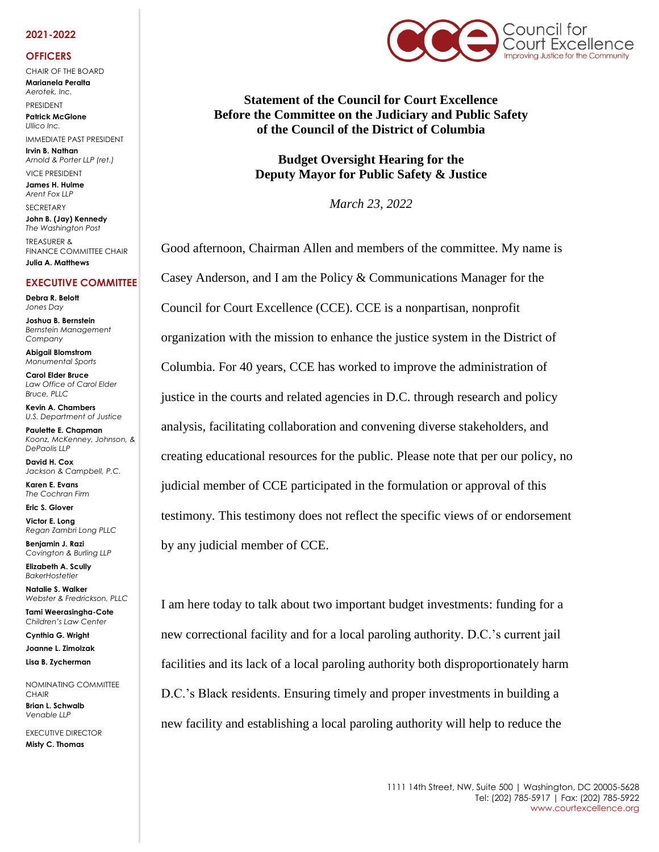### **2021-2022**

#### **OFFICERS**

CHAIR OF THE BOARD **Marianela Peralta** *Aerotek, Inc.*

PRESIDENT **Patrick McGlone** *Ullico Inc.* 

IMMEDIATE PAST PRESIDENT **Irvin B. Nathan** *Arnold & Porter LLP (ret.)* 

VICE PRESIDENT **James H. Hulme** *Arent Fox LLP*

**SECRETARY John B. (Jay) Kennedy** *The Washington Post* TREASURER & FINANCE COMMITTEE CHAIR

**Julia A. Matthews**

## **EXECUTIVE COMMITTEE**

**Debra R. Belott** *Jones Day*

**Joshua B. Bernstein** *Bernstein Management Company*

**Abigail Blomstrom** *Monumental Sports*

**Carol Elder Bruce** *Law Office of Carol Elder Bruce, PLLC*

**Kevin A. Chambers** *U.S. Department of Justice*

**Paulette E. Chapman** *Koonz, McKenney, Johnson, & DePaolis LLP*

**David H. Cox** *Jackson & Campbell, P.C.*

**Karen E. Evans** *The Cochran Firm*

**Eric S. Glover**

**Victor E. Long** *Regan Zambri Long PLLC*

**Benjamin J. Razi** *Covington & Burling LLP*

**Elizabeth A. Scully** *BakerHostetler*

**Natalie S. Walker** *Webster & Fredrickson, PLLC* **Tami Weerasingha-Cote**

*Children's Law Center* **Cynthia G. Wright Joanne L. Zimolzak**

**Lisa B. Zycherman**

NOMINATING COMMITTEE **CHAIR Brian L. Schwalb** *Venable LLP*

EXECUTIVE DIRECTOR **Misty C. Thomas** 



**Statement of the Council for Court Excellence Before the Committee on the Judiciary and Public Safety of the Council of the District of Columbia**

> **Budget Oversight Hearing for the Deputy Mayor for Public Safety & Justice**

> > *March 23, 2022*

Good afternoon, Chairman Allen and members of the committee. My name is Casey Anderson, and I am the Policy & Communications Manager for the Council for Court Excellence (CCE). CCE is a nonpartisan, nonprofit organization with the mission to enhance the justice system in the District of Columbia. For 40 years, CCE has worked to improve the administration of justice in the courts and related agencies in D.C. through research and policy analysis, facilitating collaboration and convening diverse stakeholders, and creating educational resources for the public. Please note that per our policy, no judicial member of CCE participated in the formulation or approval of this testimony. This testimony does not reflect the specific views of or endorsement by any judicial member of CCE.

I am here today to talk about two important budget investments: funding for a new correctional facility and for a local paroling authority. D.C.'s current jail facilities and its lack of a local paroling authority both disproportionately harm D.C.'s Black residents. Ensuring timely and proper investments in building a new facility and establishing a local paroling authority will help to reduce the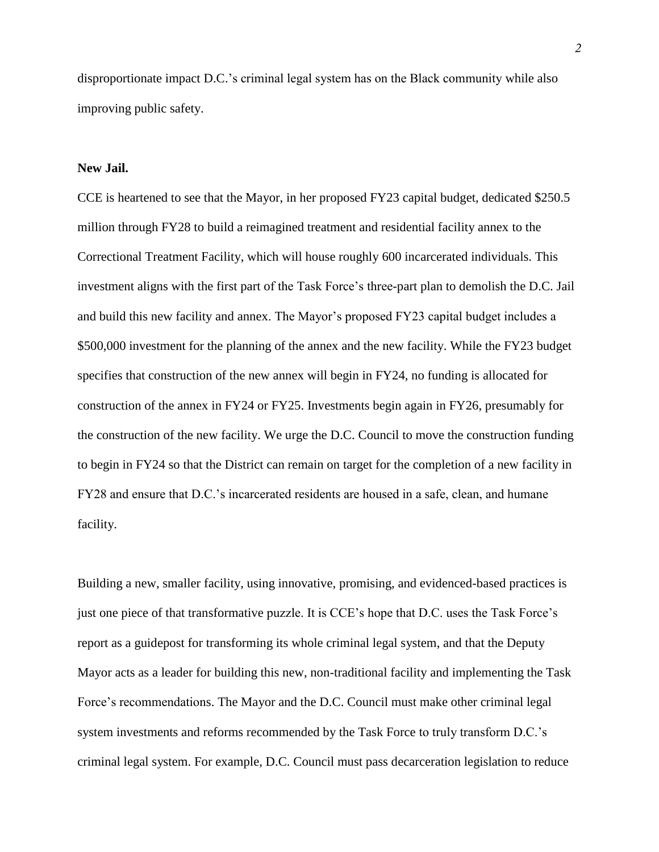disproportionate impact D.C.'s criminal legal system has on the Black community while also improving public safety.

# **New Jail.**

CCE is heartened to see that the Mayor, in her proposed FY23 capital budget, dedicated \$250.5 million through FY28 to build a reimagined treatment and residential facility annex to the Correctional Treatment Facility, which will house roughly 600 incarcerated individuals. This investment aligns with the first part of the Task Force's three-part plan to demolish the D.C. Jail and build this new facility and annex. The Mayor's proposed FY23 capital budget includes a \$500,000 investment for the planning of the annex and the new facility. While the FY23 budget specifies that construction of the new annex will begin in FY24, no funding is allocated for construction of the annex in FY24 or FY25. Investments begin again in FY26, presumably for the construction of the new facility. We urge the D.C. Council to move the construction funding to begin in FY24 so that the District can remain on target for the completion of a new facility in FY28 and ensure that D.C.'s incarcerated residents are housed in a safe, clean, and humane facility.

Building a new, smaller facility, using innovative, promising, and evidenced-based practices is just one piece of that transformative puzzle. It is CCE's hope that D.C. uses the Task Force's report as a guidepost for transforming its whole criminal legal system, and that the Deputy Mayor acts as a leader for building this new, non-traditional facility and implementing the Task Force's recommendations. The Mayor and the D.C. Council must make other criminal legal system investments and reforms recommended by the Task Force to truly transform D.C.'s criminal legal system. For example, D.C. Council must pass decarceration legislation to reduce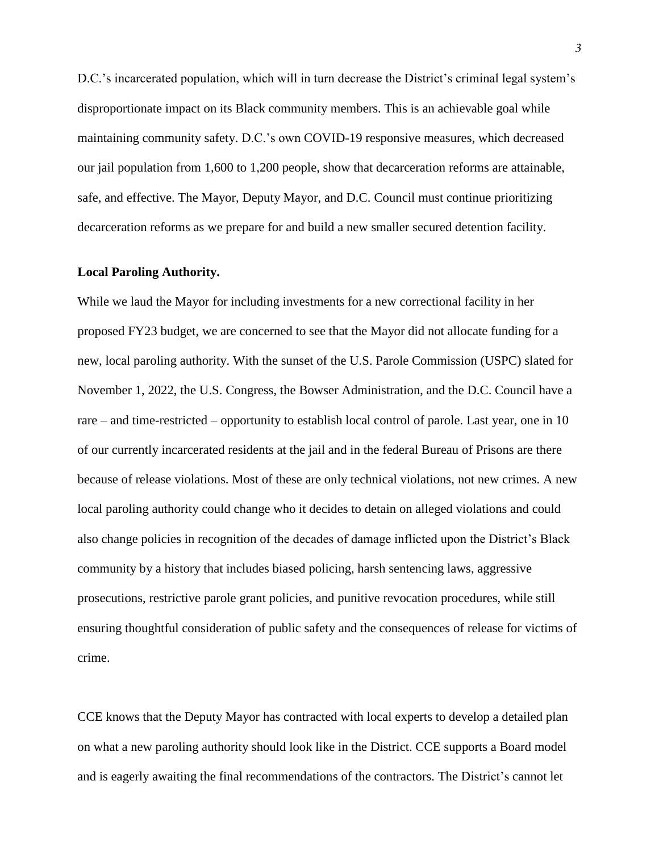D.C.'s incarcerated population, which will in turn decrease the District's criminal legal system's disproportionate impact on its Black community members. This is an achievable goal while maintaining community safety. D.C.'s own COVID-19 responsive measures, which decreased our jail population from 1,600 to 1,200 people, show that decarceration reforms are attainable, safe, and effective. The Mayor, Deputy Mayor, and D.C. Council must continue prioritizing decarceration reforms as we prepare for and build a new smaller secured detention facility.

# **Local Paroling Authority.**

While we laud the Mayor for including investments for a new correctional facility in her proposed FY23 budget, we are concerned to see that the Mayor did not allocate funding for a new, local paroling authority. With the sunset of the U.S. Parole Commission (USPC) slated for November 1, 2022, the U.S. Congress, the Bowser Administration, and the D.C. Council have a rare – and time-restricted – opportunity to establish local control of parole. Last year, one in 10 of our currently incarcerated residents at the jail and in the federal Bureau of Prisons are there because of release violations. Most of these are only technical violations, not new crimes. A new local paroling authority could change who it decides to detain on alleged violations and could also change policies in recognition of the decades of damage inflicted upon the District's Black community by a history that includes biased policing, harsh sentencing laws, aggressive prosecutions, restrictive parole grant policies, and punitive revocation procedures, while still ensuring thoughtful consideration of public safety and the consequences of release for victims of crime.

CCE knows that the Deputy Mayor has contracted with local experts to develop a detailed plan on what a new paroling authority should look like in the District. CCE supports a Board model and is eagerly awaiting the final recommendations of the contractors. The District's cannot let